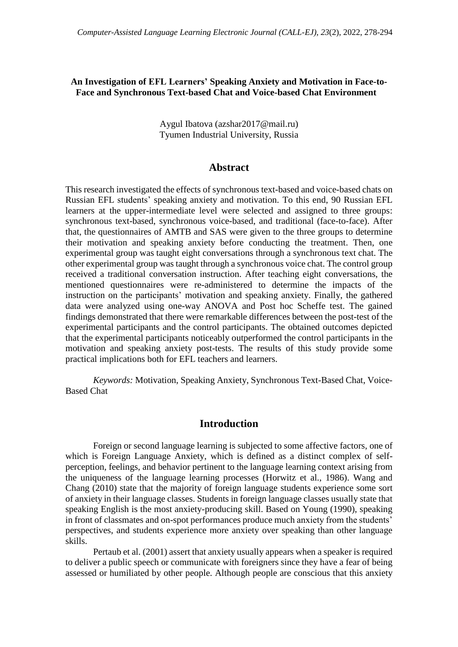## **An Investigation of EFL Learners' Speaking Anxiety and Motivation in Face-to-Face and Synchronous Text-based Chat and Voice-based Chat Environment**

Aygul Ibatova (azshar2017@mail.ru) Tyumen Industrial University, Russia

## **Abstract**

This research investigated the effects of synchronous text-based and voice-based chats on Russian EFL students' speaking anxiety and motivation. To this end, 90 Russian EFL learners at the upper-intermediate level were selected and assigned to three groups: synchronous text-based, synchronous voice-based, and traditional (face-to-face). After that, the questionnaires of AMTB and SAS were given to the three groups to determine their motivation and speaking anxiety before conducting the treatment. Then, one experimental group was taught eight conversations through a synchronous text chat. The other experimental group was taught through a synchronous voice chat. The control group received a traditional conversation instruction. After teaching eight conversations, the mentioned questionnaires were re-administered to determine the impacts of the instruction on the participants' motivation and speaking anxiety. Finally, the gathered data were analyzed using one-way ANOVA and Post hoc Scheffe test. The gained findings demonstrated that there were remarkable differences between the post-test of the experimental participants and the control participants. The obtained outcomes depicted that the experimental participants noticeably outperformed the control participants in the motivation and speaking anxiety post-tests. The results of this study provide some practical implications both for EFL teachers and learners.

*Keywords:* Motivation, Speaking Anxiety, Synchronous Text-Based Chat, Voice-Based Chat

## **Introduction**

Foreign or second language learning is subjected to some affective factors, one of which is Foreign Language Anxiety, which is defined as a distinct complex of selfperception, feelings, and behavior pertinent to the language learning context arising from the uniqueness of the language learning processes (Horwitz et al., 1986). Wang and Chang (2010) state that the majority of foreign language students experience some sort of anxiety in their language classes. Students in foreign language classes usually state that speaking English is the most anxiety-producing skill. Based on Young (1990), speaking in front of classmates and on-spot performances produce much anxiety from the students' perspectives, and students experience more anxiety over speaking than other language skills.

Pertaub et al. (2001) assert that anxiety usually appears when a speaker is required to deliver a public speech or communicate with foreigners since they have a fear of being assessed or humiliated by other people. Although people are conscious that this anxiety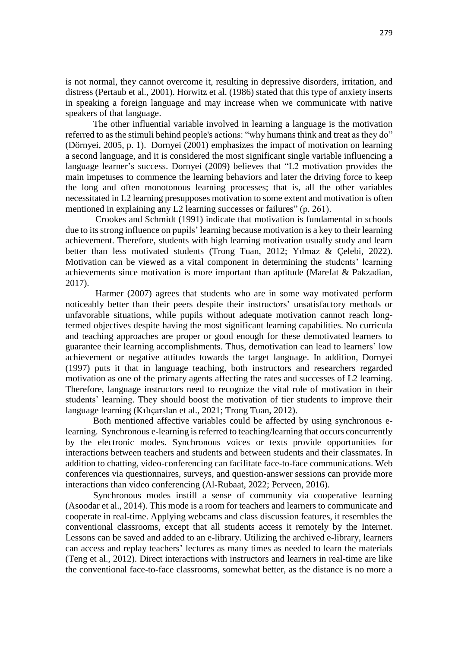is not normal, they cannot overcome it, resulting in depressive disorders, irritation, and distress (Pertaub et al., 2001). Horwitz et al. (1986) stated that this type of anxiety inserts in speaking a foreign language and may increase when we communicate with native speakers of that language.

The other influential variable involved in learning a language is the motivation referred to as the stimuli behind people's actions: "why humans think and treat as they do" (Dörnyei, 2005, p. 1). Dornyei (2001) emphasizes the impact of motivation on learning a second language, and it is considered the most significant single variable influencing a language learner's success. Dornyei (2009) believes that "L2 motivation provides the main impetuses to commence the learning behaviors and later the driving force to keep the long and often monotonous learning processes; that is, all the other variables necessitated in L2 learning presupposes motivation to some extent and motivation is often mentioned in explaining any L2 learning successes or failures" (p. 261).

Crookes and Schmidt (1991) indicate that motivation is fundamental in schools due to its strong influence on pupils' learning because motivation is a key to their learning achievement. Therefore, students with high learning motivation usually study and learn better than less motivated students (Trong Tuan, 2012; Yılmaz & Çelebi, 2022). Motivation can be viewed as a vital component in determining the students' learning achievements since motivation is more important than aptitude (Marefat & Pakzadian, 2017).

Harmer (2007) agrees that students who are in some way motivated perform noticeably better than their peers despite their instructors' unsatisfactory methods or unfavorable situations, while pupils without adequate motivation cannot reach longtermed objectives despite having the most significant learning capabilities. No curricula and teaching approaches are proper or good enough for these demotivated learners to guarantee their learning accomplishments. Thus, demotivation can lead to learners' low achievement or negative attitudes towards the target language. In addition, Dornyei (1997) puts it that in language teaching, both instructors and researchers regarded motivation as one of the primary agents affecting the rates and successes of L2 learning. Therefore, language instructors need to recognize the vital role of motivation in their students' learning. They should boost the motivation of tier students to improve their language learning (Kılıçarslan et al., 2021; Trong Tuan, 2012).

Both mentioned affective variables could be affected by using synchronous elearning. Synchronous e-learning is referred to teaching/learning that occurs concurrently by the electronic modes. Synchronous voices or texts provide opportunities for interactions between teachers and students and between students and their classmates. In addition to chatting, video-conferencing can facilitate face-to-face communications. Web conferences via questionnaires, surveys, and question-answer sessions can provide more interactions than video conferencing (Al-Rubaat, 2022; Perveen, 2016).

Synchronous modes instill a sense of community via cooperative learning (Asoodar et al., 2014). This mode is a room for teachers and learners to communicate and cooperate in real-time. Applying webcams and class discussion features, it resembles the conventional classrooms, except that all students access it remotely by the Internet. Lessons can be saved and added to an e-library. Utilizing the archived e-library, learners can access and replay teachers' lectures as many times as needed to learn the materials (Teng et al., 2012). Direct interactions with instructors and learners in real-time are like the conventional face-to-face classrooms, somewhat better, as the distance is no more a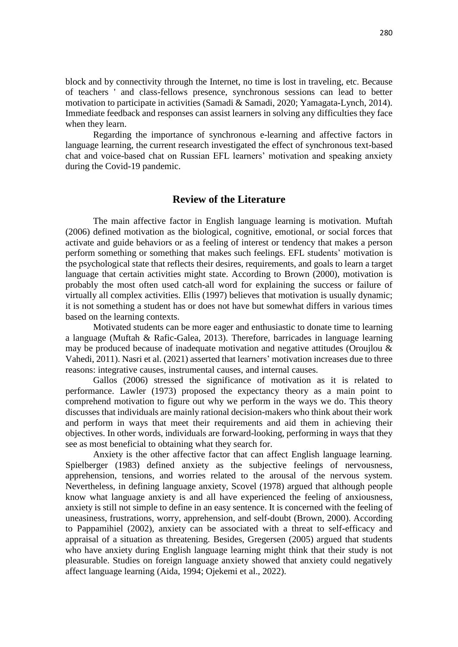block and by connectivity through the Internet, no time is lost in traveling, etc. Because of teachers ' and class-fellows presence, synchronous sessions can lead to better motivation to participate in activities (Samadi & Samadi, 2020; Yamagata-Lynch, 2014). Immediate feedback and responses can assist learners in solving any difficulties they face when they learn.

Regarding the importance of synchronous e-learning and affective factors in language learning, the current research investigated the effect of synchronous text-based chat and voice-based chat on Russian EFL learners' motivation and speaking anxiety during the Covid-19 pandemic.

# **Review of the Literature**

The main affective factor in English language learning is motivation. Muftah (2006) defined motivation as the biological, cognitive, emotional, or social forces that activate and guide behaviors or as a feeling of interest or tendency that makes a person perform something or something that makes such feelings. EFL students' motivation is the psychological state that reflects their desires, requirements, and goals to learn a target language that certain activities might state. According to Brown (2000), motivation is probably the most often used catch-all word for explaining the success or failure of virtually all complex activities. Ellis (1997) believes that motivation is usually dynamic; it is not something a student has or does not have but somewhat differs in various times based on the learning contexts.

Motivated students can be more eager and enthusiastic to donate time to learning a language (Muftah & Rafic-Galea, 2013). Therefore, barricades in language learning may be produced because of inadequate motivation and negative attitudes (Oroujlou & Vahedi, 2011). Nasri et al. (2021) asserted that learners' motivation increases due to three reasons: integrative causes, instrumental causes, and internal causes.

Gallos (2006) stressed the significance of motivation as it is related to performance. Lawler (1973) proposed the expectancy theory as a main point to comprehend motivation to figure out why we perform in the ways we do. This theory discusses that individuals are mainly rational decision-makers who think about their work and perform in ways that meet their requirements and aid them in achieving their objectives. In other words, individuals are forward-looking, performing in ways that they see as most beneficial to obtaining what they search for.

Anxiety is the other affective factor that can affect English language learning. Spielberger (1983) defined anxiety as the subjective feelings of nervousness, apprehension, tensions, and worries related to the arousal of the nervous system. Nevertheless, in defining language anxiety, Scovel (1978) argued that although people know what language anxiety is and all have experienced the feeling of anxiousness, anxiety is still not simple to define in an easy sentence. It is concerned with the feeling of uneasiness, frustrations, worry, apprehension, and self-doubt (Brown, 2000). According to Pappamihiel (2002), anxiety can be associated with a threat to self-efficacy and appraisal of a situation as threatening. Besides, Gregersen (2005) argued that students who have anxiety during English language learning might think that their study is not pleasurable. Studies on foreign language anxiety showed that anxiety could negatively affect language learning (Aida, 1994; Ojekemi et al., 2022).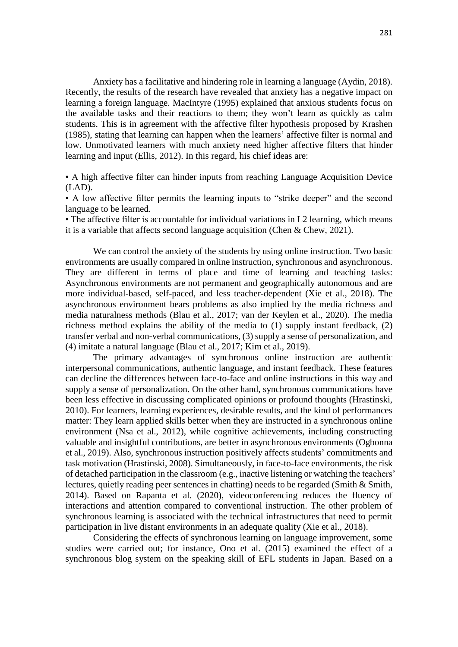Anxiety has a facilitative and hindering role in learning a language (Aydin, 2018). Recently, the results of the research have revealed that anxiety has a negative impact on learning a foreign language. MacIntyre (1995) explained that anxious students focus on the available tasks and their reactions to them; they won't learn as quickly as calm students. This is in agreement with the affective filter hypothesis proposed by Krashen (1985), stating that learning can happen when the learners' affective filter is normal and low. Unmotivated learners with much anxiety need higher affective filters that hinder learning and input (Ellis, 2012). In this regard, his chief ideas are:

• A high affective filter can hinder inputs from reaching Language Acquisition Device (LAD).

• A low affective filter permits the learning inputs to "strike deeper" and the second language to be learned.

• The affective filter is accountable for individual variations in L2 learning, which means it is a variable that affects second language acquisition (Chen & Chew, 2021).

We can control the anxiety of the students by using online instruction. Two basic environments are usually compared in online instruction, synchronous and asynchronous. They are different in terms of place and time of learning and teaching tasks: Asynchronous environments are not permanent and geographically autonomous and are more individual-based, self-paced, and less teacher-dependent (Xie et al., 2018). The asynchronous environment bears problems as also implied by the media richness and media naturalness methods (Blau et al., 2017; van der Keylen et al., 2020). The media richness method explains the ability of the media to (1) supply instant feedback, (2) transfer verbal and non-verbal communications, (3) supply a sense of personalization, and (4) imitate a natural language (Blau et al., 2017; Kim et al., 2019).

The primary advantages of synchronous online instruction are authentic interpersonal communications, authentic language, and instant feedback. These features can decline the differences between face-to-face and online instructions in this way and supply a sense of personalization. On the other hand, synchronous communications have been less effective in discussing complicated opinions or profound thoughts (Hrastinski, 2010). For learners, learning experiences, desirable results, and the kind of performances matter: They learn applied skills better when they are instructed in a synchronous online environment (Nsa et al., 2012), while cognitive achievements, including constructing valuable and insightful contributions, are better in asynchronous environments (Ogbonna et al., 2019). Also, synchronous instruction positively affects students' commitments and task motivation (Hrastinski, 2008). Simultaneously, in face-to-face environments, the risk of detached participation in the classroom (e.g., inactive listening or watching the teachers' lectures, quietly reading peer sentences in chatting) needs to be regarded (Smith & Smith, 2014). Based on Rapanta et al. (2020), videoconferencing reduces the fluency of interactions and attention compared to conventional instruction. The other problem of synchronous learning is associated with the technical infrastructures that need to permit participation in live distant environments in an adequate quality (Xie et al., 2018).

Considering the effects of synchronous learning on language improvement, some studies were carried out; for instance, Ono et al. (2015) examined the effect of a synchronous blog system on the speaking skill of EFL students in Japan. Based on a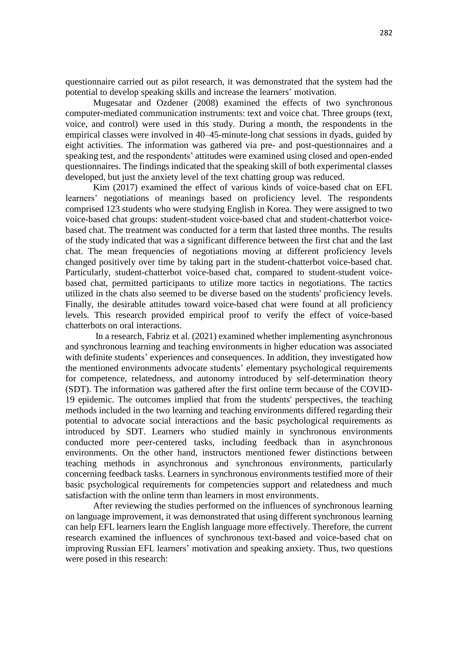questionnaire carried out as pilot research, it was demonstrated that the system had the potential to develop speaking skills and increase the learners' motivation.

Mugesatar and Ozdener (2008) examined the effects of two synchronous computer-mediated communication instruments: text and voice chat. Three groups (text, voice, and control) were used in this study. During a month, the respondents in the empirical classes were involved in 40–45-minute-long chat sessions in dyads, guided by eight activities. The information was gathered via pre- and post-questionnaires and a speaking test, and the respondents' attitudes were examined using closed and open-ended questionnaires. The findings indicated that the speaking skill of both experimental classes developed, but just the anxiety level of the text chatting group was reduced.

Kim (2017) examined the effect of various kinds of voice-based chat on EFL learners' negotiations of meanings based on proficiency level. The respondents comprised 123 students who were studying English in Korea. They were assigned to two voice-based chat groups: student-student voice-based chat and student-chatterbot voicebased chat. The treatment was conducted for a term that lasted three months. The results of the study indicated that was a significant difference between the first chat and the last chat. The mean frequencies of negotiations moving at different proficiency levels changed positively over time by taking part in the student-chatterbot voice-based chat. Particularly, student-chatterbot voice-based chat, compared to student-student voicebased chat, permitted participants to utilize more tactics in negotiations. The tactics utilized in the chats also seemed to be diverse based on the students' proficiency levels. Finally, the desirable attitudes toward voice-based chat were found at all proficiency levels. This research provided empirical proof to verify the effect of voice-based chatterbots on oral interactions.

In a research, Fabriz et al. (2021) examined whether implementing asynchronous and synchronous learning and teaching environments in higher education was associated with definite students' experiences and consequences. In addition, they investigated how the mentioned environments advocate students' elementary psychological requirements for competence, relatedness, and autonomy introduced by self-determination theory (SDT). The information was gathered after the first online term because of the COVID-19 epidemic. The outcomes implied that from the students' perspectives, the teaching methods included in the two learning and teaching environments differed regarding their potential to advocate social interactions and the basic psychological requirements as introduced by SDT. Learners who studied mainly in synchronous environments conducted more peer-centered tasks, including feedback than in asynchronous environments. On the other hand, instructors mentioned fewer distinctions between teaching methods in asynchronous and synchronous environments, particularly concerning feedback tasks. Learners in synchronous environments testified more of their basic psychological requirements for competencies support and relatedness and much satisfaction with the online term than learners in most environments.

After reviewing the studies performed on the influences of synchronous learning on language improvement, it was demonstrated that using different synchronous learning can help EFL learners learn the English language more effectively. Therefore, the current research examined the influences of synchronous text-based and voice-based chat on improving Russian EFL learners' motivation and speaking anxiety. Thus, two questions were posed in this research: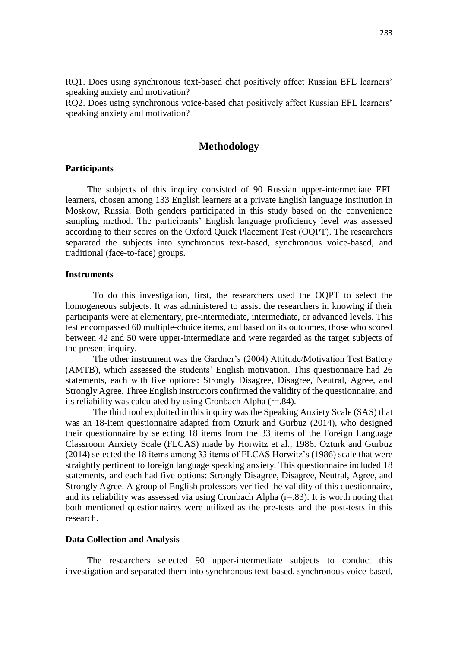RQ1. Does using synchronous text-based chat positively affect Russian EFL learners' speaking anxiety and motivation?

RQ2. Does using synchronous voice-based chat positively affect Russian EFL learners' speaking anxiety and motivation?

## **Methodology**

### **Participants**

The subjects of this inquiry consisted of 90 Russian upper-intermediate EFL learners, chosen among 133 English learners at a private English language institution in Moskow, Russia. Both genders participated in this study based on the convenience sampling method. The participants' English language proficiency level was assessed according to their scores on the Oxford Quick Placement Test (OQPT). The researchers separated the subjects into synchronous text-based, synchronous voice-based, and traditional (face-to-face) groups.

### **Instruments**

To do this investigation, first, the researchers used the OQPT to select the homogeneous subjects. It was administered to assist the researchers in knowing if their participants were at elementary, pre-intermediate, intermediate, or advanced levels. This test encompassed 60 multiple-choice items, and based on its outcomes, those who scored between 42 and 50 were upper-intermediate and were regarded as the target subjects of the present inquiry.

The other instrument was the Gardner's (2004) Attitude/Motivation Test Battery (AMTB), which assessed the students' English motivation. This questionnaire had 26 statements, each with five options: Strongly Disagree, Disagree, Neutral, Agree, and Strongly Agree. Three English instructors confirmed the validity of the questionnaire, and its reliability was calculated by using Cronbach Alpha (r=.84).

The third tool exploited in this inquiry was the Speaking Anxiety Scale (SAS) that was an 18-item questionnaire adapted from Ozturk and Gurbuz (2014), who designed their questionnaire by selecting 18 items from the 33 items of the Foreign Language Classroom Anxiety Scale (FLCAS) made by Horwitz et al., 1986. Ozturk and Gurbuz (2014) selected the 18 items among 33 items of FLCAS Horwitz's (1986) scale that were straightly pertinent to foreign language speaking anxiety. This questionnaire included 18 statements, and each had five options: Strongly Disagree, Disagree, Neutral, Agree, and Strongly Agree. A group of English professors verified the validity of this questionnaire, and its reliability was assessed via using Cronbach Alpha (r=.83). It is worth noting that both mentioned questionnaires were utilized as the pre-tests and the post-tests in this research.

#### **Data Collection and Analysis**

The researchers selected 90 upper-intermediate subjects to conduct this investigation and separated them into synchronous text-based, synchronous voice-based,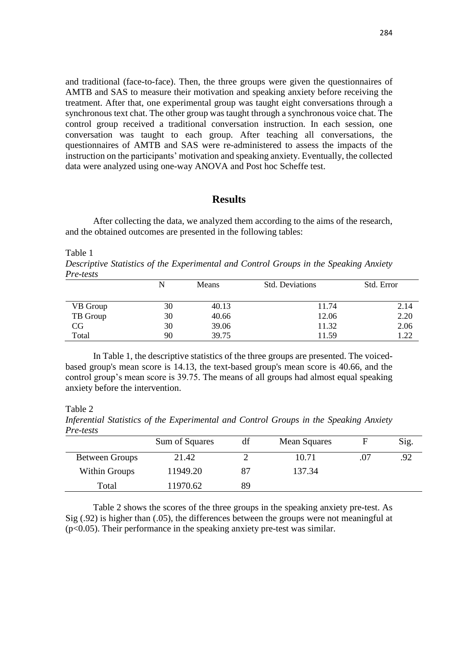and traditional (face-to-face). Then, the three groups were given the questionnaires of AMTB and SAS to measure their motivation and speaking anxiety before receiving the treatment. After that, one experimental group was taught eight conversations through a synchronous text chat. The other group was taught through a synchronous voice chat. The control group received a traditional conversation instruction. In each session, one conversation was taught to each group. After teaching all conversations, the questionnaires of AMTB and SAS were re-administered to assess the impacts of the instruction on the participants' motivation and speaking anxiety. Eventually, the collected data were analyzed using one-way ANOVA and Post hoc Scheffe test.

# **Results**

After collecting the data, we analyzed them according to the aims of the research, and the obtained outcomes are presented in the following tables:

Table 1

*Descriptive Statistics of the Experimental and Control Groups in the Speaking Anxiety Pre-tests*

|          | N  | Means | <b>Std. Deviations</b> | Std. Error |
|----------|----|-------|------------------------|------------|
|          |    |       |                        |            |
| VB Group | 30 | 40.13 | 11.74                  | 2.14       |
| TB Group | 30 | 40.66 | 12.06                  | 2.20       |
| CG       | 30 | 39.06 | 11.32                  | 2.06       |
| Total    | 90 | 39.75 | 11.59                  | 1.22       |

In Table 1, the descriptive statistics of the three groups are presented. The voicedbased group's mean score is 14.13, the text-based group's mean score is 40.66, and the control group's mean score is 39.75. The means of all groups had almost equal speaking anxiety before the intervention.

Table 2

*Inferential Statistics of the Experimental and Control Groups in the Speaking Anxiety Pre-tests*

|                | Sum of Squares | df | <b>Mean Squares</b> | F | Sig. |
|----------------|----------------|----|---------------------|---|------|
| Between Groups | 21.42          |    | 10.71               |   | .92  |
| Within Groups  | 11949.20       | 87 | 137.34              |   |      |
| Total          | 11970.62       | 89 |                     |   |      |

Table 2 shows the scores of the three groups in the speaking anxiety pre-test. As Sig (.92) is higher than (.05), the differences between the groups were not meaningful at (p<0.05). Their performance in the speaking anxiety pre-test was similar.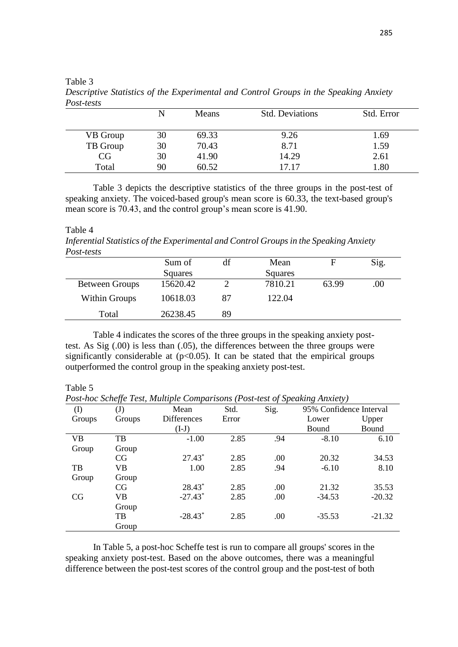| $1 \cup 31 \cup 510$ |    |       |                        |            |
|----------------------|----|-------|------------------------|------------|
|                      |    | Means | <b>Std. Deviations</b> | Std. Error |
| VB Group             | 30 | 69.33 | 9.26                   | 1.69       |
| TB Group             | 30 | 70.43 | 8.71                   | 1.59       |
| CG                   | 30 | 41.90 | 14.29                  | 2.61       |
| Total                | 90 | 60.52 | 17.17                  | 1.80       |

Table 3 *Descriptive Statistics of the Experimental and Control Groups in the Speaking Anxiety Post-tests*

Table 3 depicts the descriptive statistics of the three groups in the post-test of speaking anxiety. The voiced-based group's mean score is 60.33, the text-based group's mean score is 70.43, and the control group's mean score is 41.90.

### Table 4

*Inferential Statistics of the Experimental and Control Groups in the Speaking Anxiety Post-tests*

|                       | Sum of   | df | Mean    | н     | Sig. |
|-----------------------|----------|----|---------|-------|------|
|                       | Squares  |    | Squares |       |      |
| <b>Between Groups</b> | 15620.42 |    | 7810.21 | 63.99 | .00  |
| Within Groups         | 10618.03 | 87 | 122.04  |       |      |
| Total                 | 26238.45 | 89 |         |       |      |

Table 4 indicates the scores of the three groups in the speaking anxiety posttest. As Sig (.00) is less than (.05), the differences between the three groups were significantly considerable at  $(p<0.05)$ . It can be stated that the empirical groups outperformed the control group in the speaking anxiety post-test.

Table 5

*Post-hoc Scheffe Test, Multiple Comparisons (Post-test of Speaking Anxiety)*

| $\rm(D)$  | $\mathrm{(J)}$ | Mean                  | Std.  | Sig. | 95% Confidence Interval |          |
|-----------|----------------|-----------------------|-------|------|-------------------------|----------|
| Groups    | Groups         | <b>Differences</b>    | Error |      | Lower                   | Upper    |
|           |                | $(I-J)$               |       |      | Bound                   | Bound    |
| <b>VB</b> | TB             | $-1.00$               | 2.85  | .94  | $-8.10$                 | 6.10     |
| Group     | Group          |                       |       |      |                         |          |
|           | <b>CG</b>      | $27.43*$              | 2.85  | .00  | 20.32                   | 34.53    |
| TB        | VB             | 1.00                  | 2.85  | .94  | $-6.10$                 | 8.10     |
| Group     | Group          |                       |       |      |                         |          |
|           | <b>CG</b>      | 28.43*                | 2.85  | .00  | 21.32                   | 35.53    |
| <b>CG</b> | VB             | $-27.43$ <sup>*</sup> | 2.85  | .00  | $-34.53$                | $-20.32$ |
|           | Group          |                       |       |      |                         |          |
|           | TB             | $-28.43*$             | 2.85  | .00  | $-35.53$                | $-21.32$ |
|           | Group          |                       |       |      |                         |          |

In Table 5, a post-hoc Scheffe test is run to compare all groups' scores in the speaking anxiety post-test. Based on the above outcomes, there was a meaningful difference between the post-test scores of the control group and the post-test of both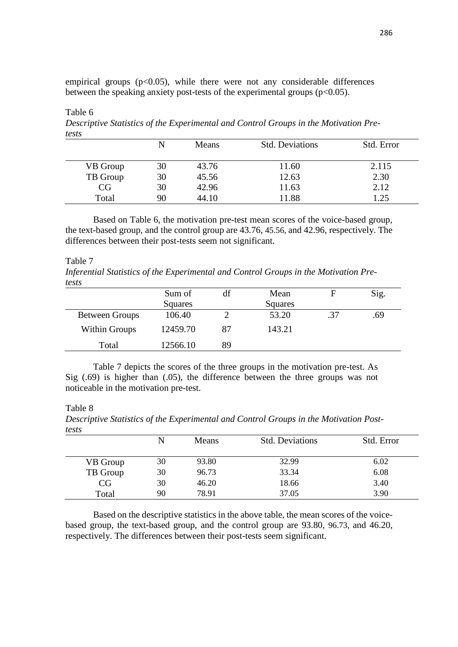empirical groups  $(p<0.05)$ , while there were not any considerable differences between the speaking anxiety post-tests of the experimental groups  $(p<0.05)$ .

Table 6 *Descriptive Statistics of the Experimental and Control Groups in the Motivation Pretests*

|          |    | Means | <b>Std. Deviations</b> | Std. Error |
|----------|----|-------|------------------------|------------|
| VB Group | 30 | 43.76 | 11.60                  | 2.115      |
| TB Group | 30 | 45.56 | 12.63                  | 2.30       |
| CG       | 30 | 42.96 | 11.63                  | 2.12       |
| Total    | 90 | 44.10 | 11.88                  | 1.25       |

Based on Table 6, the motivation pre-test mean scores of the voice-based group, the text-based group, and the control group are 43.76, 45.56, and 42.96, respectively. The differences between their post-tests seem not significant.

Table 7

*Inferential Statistics of the Experimental and Control Groups in the Motivation Pretests*

|                       | Sum of   | df | Mean    |     | Sig. |
|-----------------------|----------|----|---------|-----|------|
|                       | Squares  |    | Squares |     |      |
| <b>Between Groups</b> | 106.40   |    | 53.20   | .37 | .69  |
| Within Groups         | 12459.70 | 87 | 143.21  |     |      |
| Total                 | 12566.10 | 89 |         |     |      |

Table 7 depicts the scores of the three groups in the motivation pre-test. As Sig (.69) is higher than (.05), the difference between the three groups was not noticeable in the motivation pre-test.

### Table 8

*Descriptive Statistics of the Experimental and Control Groups in the Motivation Posttests*

| ,,,,,,   |    |       |                        |            |
|----------|----|-------|------------------------|------------|
|          | N  | Means | <b>Std. Deviations</b> | Std. Error |
| VB Group | 30 | 93.80 | 32.99                  | 6.02       |
| TB Group | 30 | 96.73 | 33.34                  | 6.08       |
| CG       | 30 | 46.20 | 18.66                  | 3.40       |
| Total    | 90 | 78.91 | 37.05                  | 3.90       |

Based on the descriptive statistics in the above table, the mean scores of the voicebased group, the text-based group, and the control group are 93.80, 96.73, and 46.20, respectively. The differences between their post-tests seem significant.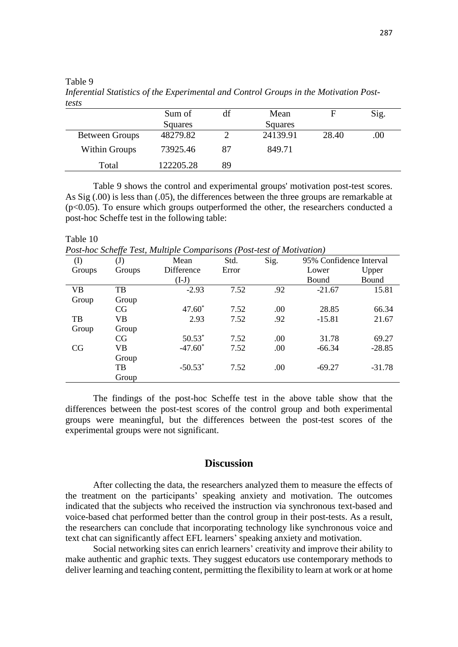Table 9

| <i>resis</i>          |           |    |          |       |      |
|-----------------------|-----------|----|----------|-------|------|
|                       | Sum of    | df | Mean     |       | Sig. |
|                       | Squares   |    | Squares  |       |      |
| <b>Between Groups</b> | 48279.82  |    | 24139.91 | 28.40 | .00  |
| Within Groups         | 73925.46  | 87 | 849.71   |       |      |
| Total                 | 122205.28 | 89 |          |       |      |

*Inferential Statistics of the Experimental and Control Groups in the Motivation Posttests*

Table 9 shows the control and experimental groups' motivation post-test scores. As Sig (.00) is less than (.05), the differences between the three groups are remarkable at (p<0.05). To ensure which groups outperformed the other, the researchers conducted a post-hoc Scheffe test in the following table:

#### Table 10

*Post-hoc Scheffe Test, Multiple Comparisons (Post-test of Motivation)*

| $\rm (I)$ | $\mathrm{(J)}$ | Mean       | Std.  | Sig. | 95% Confidence Interval |          |
|-----------|----------------|------------|-------|------|-------------------------|----------|
| Groups    | Groups         | Difference | Error |      | Lower                   | Upper    |
|           |                | $(I-J)$    |       |      | Bound                   | Bound    |
| <b>VB</b> | TB             | $-2.93$    | 7.52  | .92  | $-21.67$                | 15.81    |
| Group     | Group          |            |       |      |                         |          |
|           | CG             | $47.60*$   | 7.52  | .00  | 28.85                   | 66.34    |
| TB        | VВ             | 2.93       | 7.52  | .92  | $-15.81$                | 21.67    |
| Group     | Group          |            |       |      |                         |          |
|           | CG             | $50.53*$   | 7.52  | .00  | 31.78                   | 69.27    |
| CG        | VB             | $-47.60*$  | 7.52  | .00  | $-66.34$                | $-28.85$ |
|           | Group          |            |       |      |                         |          |
|           | TB             | $-50.53*$  | 7.52  | .00  | $-69.27$                | $-31.78$ |
|           | Group          |            |       |      |                         |          |

The findings of the post-hoc Scheffe test in the above table show that the differences between the post-test scores of the control group and both experimental groups were meaningful, but the differences between the post-test scores of the experimental groups were not significant.

## **Discussion**

After collecting the data, the researchers analyzed them to measure the effects of the treatment on the participants' speaking anxiety and motivation. The outcomes indicated that the subjects who received the instruction via synchronous text-based and voice-based chat performed better than the control group in their post-tests. As a result, the researchers can conclude that incorporating technology like synchronous voice and text chat can significantly affect EFL learners' speaking anxiety and motivation.

Social networking sites can enrich learners' creativity and improve their ability to make authentic and graphic texts. They suggest educators use contemporary methods to deliver learning and teaching content, permitting the flexibility to learn at work or at home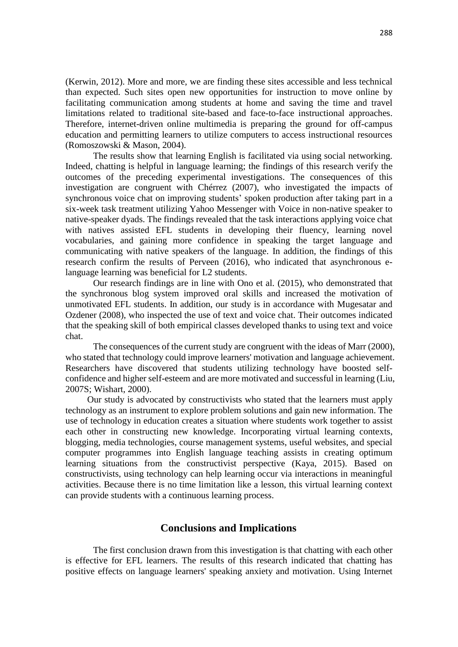(Kerwin, 2012). More and more, we are finding these sites accessible and less technical than expected. Such sites open new opportunities for instruction to move online by facilitating communication among students at home and saving the time and travel limitations related to traditional site-based and face-to-face instructional approaches. Therefore, internet-driven online multimedia is preparing the ground for off-campus education and permitting learners to utilize computers to access instructional resources (Romoszowski & Mason, 2004).

The results show that learning English is facilitated via using social networking. Indeed, chatting is helpful in language learning; the findings of this research verify the outcomes of the preceding experimental investigations. The consequences of this investigation are congruent with Chérrez (2007), who investigated the impacts of synchronous voice chat on improving students' spoken production after taking part in a six-week task treatment utilizing Yahoo Messenger with Voice in non-native speaker to native-speaker dyads. The findings revealed that the task interactions applying voice chat with natives assisted EFL students in developing their fluency, learning novel vocabularies, and gaining more confidence in speaking the target language and communicating with native speakers of the language. In addition, the findings of this research confirm the results of Perveen (2016), who indicated that asynchronous elanguage learning was beneficial for L2 students.

Our research findings are in line with Ono et al. (2015), who demonstrated that the synchronous blog system improved oral skills and increased the motivation of unmotivated EFL students. In addition, our study is in accordance with Mugesatar and Ozdener (2008), who inspected the use of text and voice chat. Their outcomes indicated that the speaking skill of both empirical classes developed thanks to using text and voice chat.

The consequences of the current study are congruent with the ideas of Marr (2000), who stated that technology could improve learners' motivation and language achievement. Researchers have discovered that students utilizing technology have boosted selfconfidence and higher self-esteem and are more motivated and successful in learning (Liu, 2007S; Wishart, 2000).

Our study is advocated by constructivists who stated that the learners must apply technology as an instrument to explore problem solutions and gain new information. The use of technology in education creates a situation where students work together to assist each other in constructing new knowledge. Incorporating virtual learning contexts, blogging, media technologies, course management systems, useful websites, and special computer programmes into English language teaching assists in creating optimum learning situations from the constructivist perspective (Kaya, 2015). Based on constructivists, using technology can help learning occur via interactions in meaningful activities. Because there is no time limitation like a lesson, this virtual learning context can provide students with a continuous learning process.

## **Conclusions and Implications**

The first conclusion drawn from this investigation is that chatting with each other is effective for EFL learners. The results of this research indicated that chatting has positive effects on language learners' speaking anxiety and motivation. Using Internet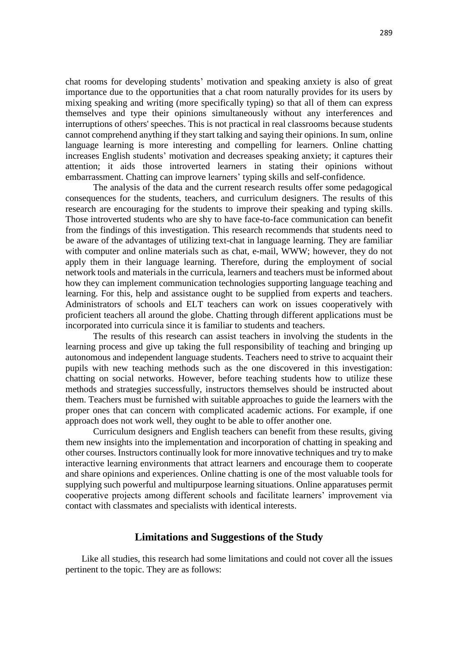chat rooms for developing students' motivation and speaking anxiety is also of great importance due to the opportunities that a chat room naturally provides for its users by mixing speaking and writing (more specifically typing) so that all of them can express themselves and type their opinions simultaneously without any interferences and interruptions of others' speeches. This is not practical in real classrooms because students cannot comprehend anything if they start talking and saying their opinions. In sum, online language learning is more interesting and compelling for learners. Online chatting increases English students' motivation and decreases speaking anxiety; it captures their attention; it aids those introverted learners in stating their opinions without embarrassment. Chatting can improve learners' typing skills and self-confidence.

The analysis of the data and the current research results offer some pedagogical consequences for the students, teachers, and curriculum designers. The results of this research are encouraging for the students to improve their speaking and typing skills. Those introverted students who are shy to have face-to-face communication can benefit from the findings of this investigation. This research recommends that students need to be aware of the advantages of utilizing text-chat in language learning. They are familiar with computer and online materials such as chat, e-mail, WWW; however, they do not apply them in their language learning. Therefore, during the employment of social network tools and materials in the curricula, learners and teachers must be informed about how they can implement communication technologies supporting language teaching and learning. For this, help and assistance ought to be supplied from experts and teachers. Administrators of schools and ELT teachers can work on issues cooperatively with proficient teachers all around the globe. Chatting through different applications must be incorporated into curricula since it is familiar to students and teachers.

The results of this research can assist teachers in involving the students in the learning process and give up taking the full responsibility of teaching and bringing up autonomous and independent language students. Teachers need to strive to acquaint their pupils with new teaching methods such as the one discovered in this investigation: chatting on social networks. However, before teaching students how to utilize these methods and strategies successfully, instructors themselves should be instructed about them. Teachers must be furnished with suitable approaches to guide the learners with the proper ones that can concern with complicated academic actions. For example, if one approach does not work well, they ought to be able to offer another one.

Curriculum designers and English teachers can benefit from these results, giving them new insights into the implementation and incorporation of chatting in speaking and other courses. Instructors continually look for more innovative techniques and try to make interactive learning environments that attract learners and encourage them to cooperate and share opinions and experiences. Online chatting is one of the most valuable tools for supplying such powerful and multipurpose learning situations. Online apparatuses permit cooperative projects among different schools and facilitate learners' improvement via contact with classmates and specialists with identical interests.

## **Limitations and Suggestions of the Study**

Like all studies, this research had some limitations and could not cover all the issues pertinent to the topic. They are as follows: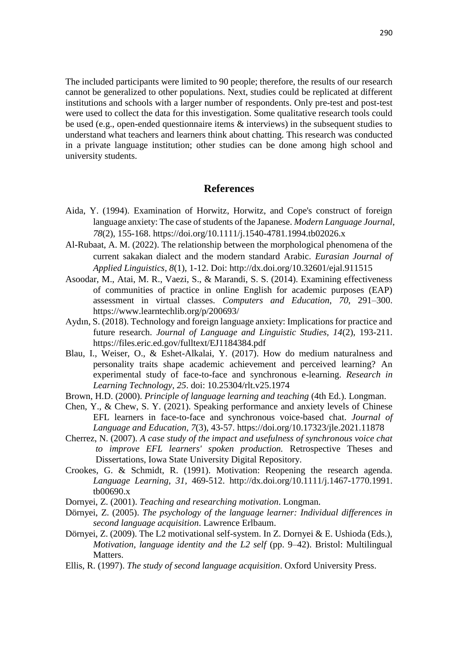The included participants were limited to 90 people; therefore, the results of our research cannot be generalized to other populations. Next, studies could be replicated at different institutions and schools with a larger number of respondents. Only pre-test and post-test were used to collect the data for this investigation. Some qualitative research tools could be used (e.g., open-ended questionnaire items & interviews) in the subsequent studies to understand what teachers and learners think about chatting. This research was conducted in a private language institution; other studies can be done among high school and university students.

### **References**

- Aida, Y. (1994). Examination of Horwitz, Horwitz, and Cope's construct of foreign language anxiety: The case of students of the Japanese. *Modern Language Journal*, *78*(2), 155-168. <https://doi.org/10.1111/j.1540-4781.1994.tb02026.x>
- Al-Rubaat, A. M. (2022). The relationship between the morphological phenomena of the current sakakan dialect and the modern standard Arabic. *Eurasian Journal of Applied Linguistics, 8*(1), 1-12. Doi:<http://dx.doi.org/10.32601/ejal.911515>
- Asoodar, M., Atai, M. R., Vaezi, S., & Marandi, S. S. (2014). Examining effectiveness of communities of practice in online English for academic purposes (EAP) assessment in virtual classes. *Computers and Education*, *70*, 291–300. <https://www.learntechlib.org/p/200693/>
- Aydın, S. (2018). Technology and foreign language anxiety: Implications for practice and future research. *Journal of Language and Linguistic Studies, 14*(2), 193-211. https://files.eric.ed.gov/fulltext/EJ1184384.pdf
- Blau, I., Weiser, O., & Eshet-Alkalai, Y. (2017). How do medium naturalness and personality traits shape academic achievement and perceived learning? An experimental study of face-to-face and synchronous e-learning. *Research in Learning Technology, 25*. doi: 10.25304/rlt.v25.1974
- Brown, H.D. (2000). *Principle of language learning and teaching* (4th Ed.). Longman.
- Chen, Y., & Chew, S. Y. (2021). Speaking performance and anxiety levels of Chinese EFL learners in face-to-face and synchronous voice-based chat. *Journal of Language and Education, 7*(3), 43-57. <https://doi.org/10.17323/jle.2021.11878>
- Cherrez, N. (2007). *A case study of the impact and usefulness of synchronous voice chat to improve EFL learners' spoken production.* Retrospective Theses and Dissertations, Iowa State University Digital Repository.
- Crookes, G. & Schmidt, R. (1991). Motivation: Reopening the research agenda. *Language Learning, 31,* 469-512. http://dx.doi.org/10.1111/j.1467-1770.1991. tb00690.x
- Dornyei, Z. (2001). *Teaching and researching motivation*. Longman.
- Dörnyei, Z. (2005). *The psychology of the language learner: Individual differences in second language acquisition*. Lawrence Erlbaum.
- Dörnyei, Z. (2009). The L2 motivational self-system. In Z. Dornyei & E. Ushioda (Eds.), *Motivation, language identity and the L2 self (pp. 9–42). Bristol: Multilingual* Matters.
- Ellis, R. (1997). *The study of second language acquisition*. Oxford University Press.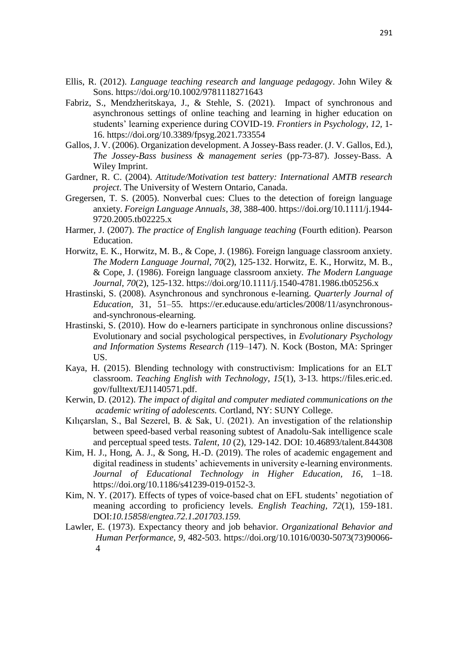- Ellis, R. (2012). *Language teaching research and language pedagogy*. John Wiley & Sons. [https://doi.](https://doi/)org/10.1002/9781118271643
- Fabriz, S., Mendzheritskaya, J., & Stehle, S. (2021). Impact of synchronous and asynchronous settings of online teaching and learning in higher education on students' learning experience during COVID-19. *Frontiers in Psychology, 12,* 1- 16. <https://doi.org/10.3389/fpsyg.2021.733554>
- Gallos, J. V. (2006). Organization development. A Jossey-Bass reader. (J. V. Gallos, Ed.), *The Jossey-Bass business & management series* (pp-73-87). Jossey-Bass. A Wiley Imprint.
- Gardner, R. C. (2004). *Attitude/Motivation test battery: International AMTB research project*. The University of Western Ontario, Canada.
- Gregersen, T. S. (2005). Nonverbal cues: Clues to the detection of foreign language anxiety. *Foreign Language Annuals*, *38*, 388-400. [https://doi.org/10.1111/j.1944-](https://doi.org/10.1111/j.1944-9720.2005.tb02225.x) [9720.2005.tb02225.x](https://doi.org/10.1111/j.1944-9720.2005.tb02225.x)
- Harmer, J. (2007). *The practice of English language teaching* (Fourth edition). Pearson Education.
- Horwitz, E. K., Horwitz, M. B., & Cope, J. (1986). Foreign language classroom anxiety. *The Modern Language Journal*, *70*(2), 125-132. Horwitz, E. K., Horwitz, M. B., & Cope, J. (1986). Foreign language classroom anxiety. *The Modern Language Journal*, *70*(2), 125-132. <https://doi.org/10.1111/j.1540-4781.1986.tb05256.x>
- Hrastinski, S. (2008). Asynchronous and synchronous e-learning. *Quarterly Journal of Education,* 31, 51–55. https://er.educause.edu/articles/2008/11/asynchronousand-synchronous-elearning.
- Hrastinski, S. (2010). How do e-learners participate in synchronous online discussions? Evolutionary and social psychological perspectives, in *Evolutionary Psychology and Information Systems Research (*119–147). N. Kock (Boston, MA: Springer US.
- Kaya, H. (2015). Blending technology with constructivism: Implications for an ELT classroom. *Teaching English with Technology*, *15*(1), 3-13. https://files.eric.ed. gov/fulltext/EJ1140571.pdf.
- Kerwin, D. (2012). *The impact of digital and computer mediated communications on the academic writing of adolescents.* Cortland, NY: SUNY College.
- Kılıçarslan, S., Bal Sezerel, B. & Sak, U. (2021). An investigation of the relationship between speed-based verbal reasoning subtest of Anadolu-Sak intelligence scale and perceptual speed tests. *Talent, 10* (2), 129-142. DOI: 10.46893/talent.844308
- Kim, H. J., Hong, A. J., & Song, H.-D. (2019). The roles of academic engagement and digital readiness in students' achievements in university e-learning environments. *Journal of Educational Technology in Higher Education, 16*, 1–18. https://doi.org/10.1186/s41239-019-0152-3.
- Kim, N. Y. (2017). Effects of types of voice-based chat on EFL students' negotiation of meaning according to proficiency levels. *English Teaching, 72*(1), 159-181. DOI:*10.15858*/*engtea*.*72.1.201703.159.*
- Lawler, E. (1973). Expectancy theory and job behavior. *Organizational Behavior and Human Performance, 9*, 482-503. [https://doi.org/10.1016/0030-5073\(73\)90066-](https://doi.org/10.1016/0030-5073(73)90066-4) [4](https://doi.org/10.1016/0030-5073(73)90066-4)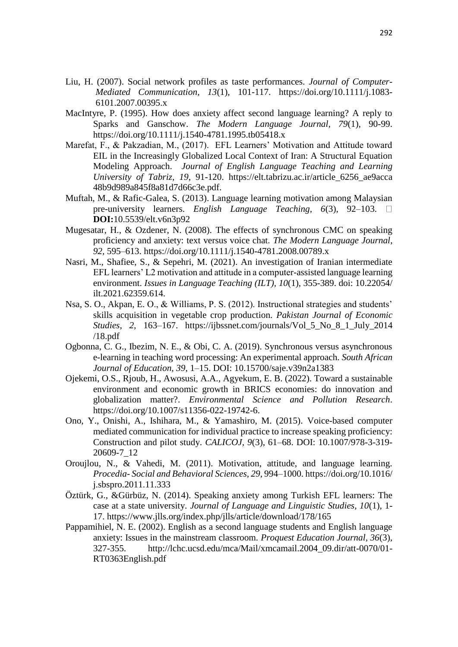- Liu, H. (2007). Social network profiles as taste performances. *Journal of Computer-Mediated Communication, 13*(1), 101-117. [https://doi.org/10.1111/j.1083-](https://doi.org/10.1111/j.1083-6101.2007.00395.x) [6101.2007.00395.x](https://doi.org/10.1111/j.1083-6101.2007.00395.x)
- MacIntyre, P. (1995). How does anxiety affect second language learning? A reply to Sparks and Ganschow. *The Modern Language Journal, 79*(1), 90-99. <https://doi.org/10.1111/j.1540-4781.1995.tb05418.x>
- Marefat, F., & Pakzadian, M., (2017). EFL Learners' Motivation and Attitude toward EIL in the Increasingly Globalized Local Context of Iran: A Structural Equation Modeling Approach. *Journal of English Language Teaching and Learning University of Tabriz, 19*, 91-120. https://elt.tabrizu.ac.ir/article\_6256\_ae9acca 48b9d989a845f8a81d7d66c3e.pdf.
- Muftah, M., & Rafic-Galea, S. (2013). Language learning motivation among Malaysian pre-university learners. *English Language Teaching, 6*(3), 92–103. **DOI:**[10.5539/elt.v6n3p92](https://doi.org/10.5539/elt.v6n3p92)
- Mugesatar, H., & Ozdener, N. (2008). The effects of synchronous CMC on speaking proficiency and anxiety: text versus voice chat. *The Modern Language Journal*, *92,* 595–613. <https://doi.org/10.1111/j.1540-4781.2008.00789.x>
- Nasri, M., Shafiee, S., & Sepehri, M. (2021). An investigation of Iranian intermediate EFL learners' L2 motivation and attitude in a computer-assisted language learning environment. *Issues in Language Teaching (ILT), 10*(1), 355-389. doi: 10.22054/ ilt.2021.62359.614.
- Nsa, S. O., Akpan, E. O., & Williams, P. S. (2012). Instructional strategies and students' skills acquisition in vegetable crop production. *Pakistan Journal of Economic Studies, 2,* 163–167. https://ijbssnet.com/journals/Vol\_5\_No\_8\_1\_July\_2014 /18.pdf
- Ogbonna, C. G., Ibezim, N. E., & Obi, C. A. (2019). Synchronous versus asynchronous e-learning in teaching word processing: An experimental approach. *South African Journal of Education, 39*, 1–15. DOI: [10.15700/saje.v39n2a1383](https://doi.org/10.15700/saje.v39n2a1383)
- Ojekemi, O.S., Rjoub, H., Awosusi, A.A.*,* Agyekum, E. B. (2022). Toward a sustainable environment and economic growth in BRICS economies: do innovation and globalization matter?. *Environmental Science and Pollution Research*. [https://doi.org/10.1007/s11356-022-19742-6.](https://doi.org/10.1007/s11356-022-19742-6)
- Ono, Y., Onishi, A., Ishihara, M., & Yamashiro, M. (2015). Voice-based computer mediated communication for individual practice to increase speaking proficiency: Construction and pilot study. *CALICOJ, 9*(3), 61–68. DOI: 10.1007/978-3-319- 20609-7\_12
- Oroujlou, N., & Vahedi, M. (2011). Motivation, attitude, and language learning. *Procedia- Social and Behavioral Sciences, 29*, 994–1000. https://doi.org/10.1016/ j.sbspro.2011.11.333
- Öztürk, G., &Gürbüz, N. (2014). Speaking anxiety among Turkish EFL learners: The case at a state university. *Journal of Language and Linguistic Studies, 10*(1), 1- 17. https://www.jlls.org/index.php/jlls/article/download/178/165
- Pappamihiel, N. E. (2002). English as a second language students and English language anxiety: Issues in the mainstream classroom*. Proquest Education Journal, 36*(3)*,*  327-355. http://lchc.ucsd.edu/mca/Mail/xmcamail.2004\_09.dir/att-0070/01- RT0363English.pdf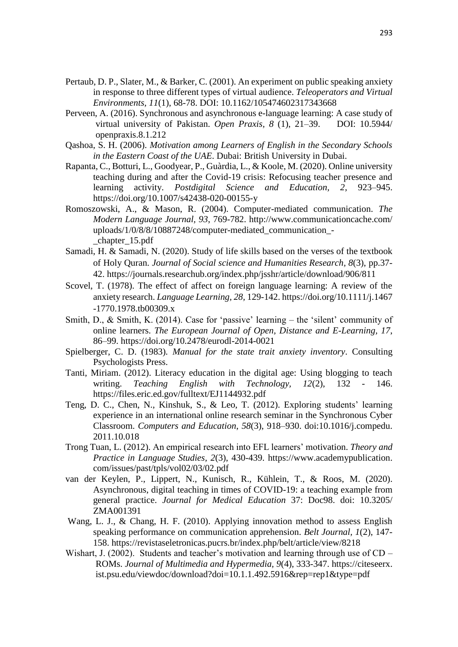- Pertaub, D. P., Slater, M., & Barker, C. (2001). An experiment on public speaking anxiety in response to three different types of virtual audience. *Teleoperators and Virtual Environments, 11*(1), 68-78. DOI: 10.1162/105474602317343668
- Perveen, A. (2016). Synchronous and asynchronous e-language learning: A case study of virtual university of Pakistan. *Open Praxis, 8* (1), 21–39. DOI: 10.5944/ openpraxis.8.1.212
- Qashoa, S. H. (2006). *Motivation among Learners of English in the Secondary Schools in the Eastern Coast of the UAE*. Dubai: British University in Dubai.
- Rapanta, C., Botturi, L., Goodyear, P., Guàrdia, L., & Koole, M. (2020). Online university teaching during and after the Covid-19 crisis: Refocusing teacher presence and learning activity. *Postdigital Science and Education, 2*, 923–945. https://doi.org/10.1007/s42438-020-00155-y
- Romoszowski, A., & Mason, R. (2004). Computer-mediated communication. *The Modern Language Journal, 93*, 769-782. http://www.communicationcache.com/ uploads/1/0/8/8/10887248/computer-mediated\_communication\_- \_chapter\_15.pdf
- Samadi, H. & Samadi, N. (2020). Study of life skills based on the verses of the textbook of Holy Quran. *Journal of Social science and Humanities Research, 8*(3), pp.37- 42. <https://journals.researchub.org/index.php/jsshr/article/download/906/811>
- Scovel, T. (1978). The effect of affect on foreign language learning: A review of the anxiety research. *Language Learning, 28,* 129-142. https://doi.org/10.1111/j.1467 -1770.1978.tb00309.x
- Smith, D., & Smith, K. (2014). Case for 'passive' learning the 'silent' community of online learners. *The European Journal of Open, Distance and E-Learning, 17*, 86–99. <https://doi.org/10.2478/eurodl-2014-0021>
- Spielberger, C. D. (1983)*. Manual for the state trait anxiety inventory*. Consulting Psychologists Press.
- Tanti, Miriam. (2012). Literacy education in the digital age: Using blogging to teach writing. *Teaching English with Technology, 12*(2), 132 - 146. https://files.eric.ed.gov/fulltext/EJ1144932.pdf
- Teng, D. C., Chen, N., Kinshuk, S., & Leo, T. (2012). Exploring students' learning experience in an international online research seminar in the Synchronous Cyber Classroom. *Computers and Education*, *58*(3), 918–930. doi:10.1016/j.compedu. 2011.10.018
- Trong Tuan, L. (2012). An empirical research into EFL learners' motivation. *Theory and Practice in Language Studies, 2*(3), 430-439. https://www.academypublication. com/issues/past/tpls/vol02/03/02.pdf
- van der Keylen, P., Lippert, N., Kunisch, R., Kühlein, T., & Roos, M. (2020). Asynchronous, digital teaching in times of COVID-19: a teaching example from general practice. *Journal for Medical Education* 37: Doc98. doi: 10.3205/ ZMA001391
- Wang, L. J., & Chang, H. F. (2010). Applying innovation method to assess English speaking performance on communication apprehension. *Belt Journal, 1*(2), 147- 158. https://revistaseletronicas.pucrs.br/index.php/belt/article/view/8218
- Wishart, J. (2002). Students and teacher's motivation and learning through use of CD ROMs. *Journal of Multimedia and Hypermedia, 9*(4), 333-347. https://citeseerx. ist.psu.edu/viewdoc/download?doi=10.1.1.492.5916&rep=rep1&type=pdf